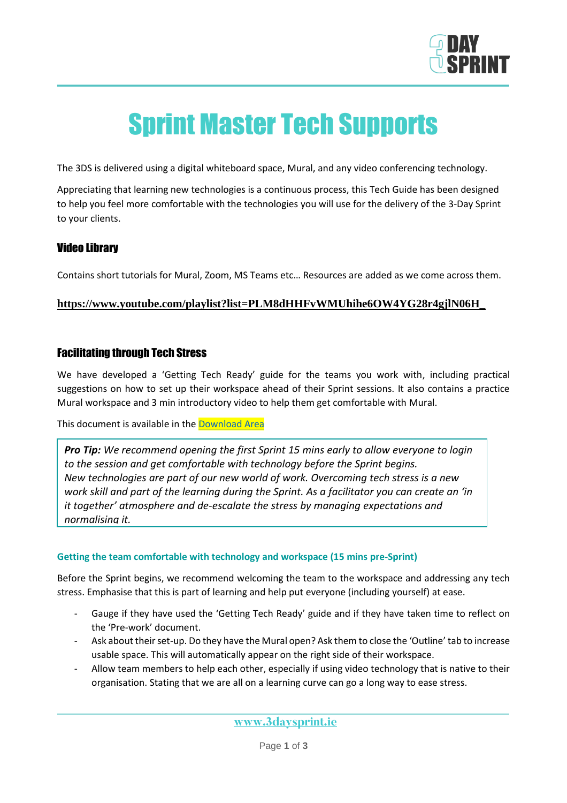

# Sprint Master Tech Supports

The 3DS is delivered using a digital whiteboard space, Mural, and any video conferencing technology.

Appreciating that learning new technologies is a continuous process, this Tech Guide has been designed to help you feel more comfortable with the technologies you will use for the delivery of the 3-Day Sprint to your clients.

## Video Library

Contains short tutorials for Mural, Zoom, MS Teams etc… Resources are added as we come across them.

#### **[https://www.youtube.com/playlist?list=PLM8dHHFvWMUhihe6OW4YG28r4gjlN06H\\_](https://www.youtube.com/playlist?list=PLM8dHHFvWMUhihe6OW4YG28r4gjlN06H_)**

## Facilitating through Tech Stress

We have developed a 'Getting Tech Ready' guide for the teams you work with, including practical suggestions on how to set up their workspace ahead of their Sprint sessions. It also contains a practice Mural workspace and 3 min introductory video to help them get comfortable with Mural.

This document is available in the [Download Area](https://www.3daysprint.ie/sprint-master-resources)

*Pro Tip: We recommend opening the first Sprint 15 mins early to allow everyone to login to the session and get comfortable with technology before the Sprint begins. New technologies are part of our new world of work. Overcoming tech stress is a new work skill and part of the learning during the Sprint. As a facilitator you can create an 'in it together' atmosphere and de-escalate the stress by managing expectations and normalising it.*

#### **Getting the team comfortable with technology and workspace (15 mins pre-Sprint)**

Before the Sprint begins, we recommend welcoming the team to the workspace and addressing any tech stress. Emphasise that this is part of learning and help put everyone (including yourself) at ease.

- Gauge if they have used the 'Getting Tech Ready' guide and if they have taken time to reflect on the 'Pre-work' document.
- Ask about their set-up. Do they have the Mural open? Ask them to close the 'Outline' tab to increase usable space. This will automatically appear on the right side of their workspace.
- Allow team members to help each other, especially if using video technology that is native to their organisation. Stating that we are all on a learning curve can go a long way to ease stress.

www.3daysprint.ie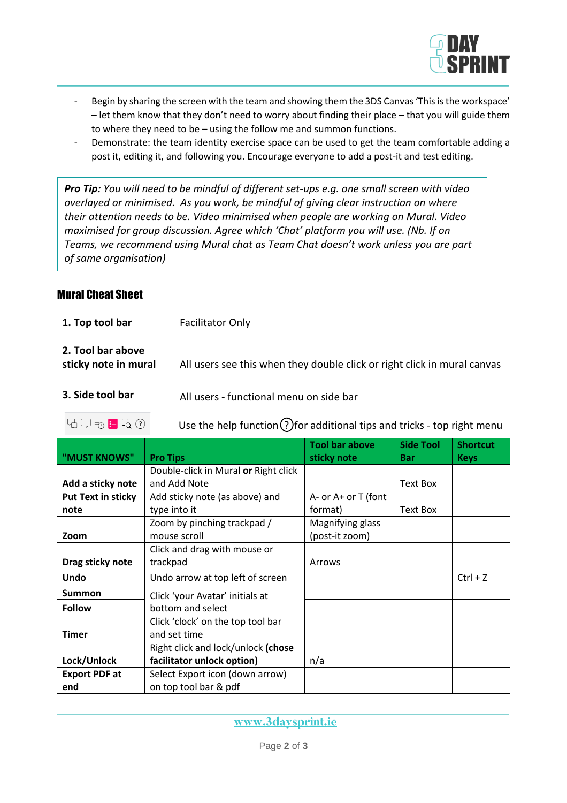

- Begin by sharing the screen with the team and showing them the 3DS Canvas 'This is the workspace' – let them know that they don't need to worry about finding their place – that you will guide them to where they need to be – using the follow me and summon functions.
- Demonstrate: the team identity exercise space can be used to get the team comfortable adding a post it, editing it, and following you. Encourage everyone to add a post-it and test editing.

*Pro Tip: You will need to be mindful of different set-ups e.g. one small screen with video overlayed or minimised. As you work, be mindful of giving clear instruction on where their attention needs to be. Video minimised when people are working on Mural. Video maximised for group discussion. Agree which 'Chat' platform you will use. (Nb. If on Teams, we recommend using Mural chat as Team Chat doesn't work unless you are part of same organisation)*

## Mural Cheat Sheet

**1. Top tool bar** Facilitator Only

| 2. Tool bar above    |                                                                          |
|----------------------|--------------------------------------------------------------------------|
| sticky note in mural | All users see this when they double click or right click in mural canvas |

- **3. Side tool bar** All users functional menu on side bar
	- $\Box \Box \overline{\Diamond} \Box \overline{\Diamond}$   $\Box$   $\Box$   $\Box$  Use the help function  $\Omega$  for additional tips and tricks top right menu

| "MUST KNOWS"              | <b>Pro Tips</b>                      | <b>Tool bar above</b><br>sticky note | <b>Side Tool</b><br><b>Bar</b> | <b>Shortcut</b><br><b>Keys</b> |
|---------------------------|--------------------------------------|--------------------------------------|--------------------------------|--------------------------------|
|                           | Double-click in Mural or Right click |                                      |                                |                                |
| Add a sticky note         | and Add Note                         |                                      | Text Box                       |                                |
| <b>Put Text in sticky</b> | Add sticky note (as above) and       | A- or A+ or T (font                  |                                |                                |
| note                      | type into it                         | format)                              | Text Box                       |                                |
|                           | Zoom by pinching trackpad /          | Magnifying glass                     |                                |                                |
| Zoom                      | mouse scroll                         | (post-it zoom)                       |                                |                                |
|                           | Click and drag with mouse or         |                                      |                                |                                |
| Drag sticky note          | trackpad                             | Arrows                               |                                |                                |
| <b>Undo</b>               | Undo arrow at top left of screen     |                                      |                                | $Ctrl + Z$                     |
| <b>Summon</b>             | Click 'your Avatar' initials at      |                                      |                                |                                |
| <b>Follow</b>             | bottom and select                    |                                      |                                |                                |
|                           | Click 'clock' on the top tool bar    |                                      |                                |                                |
| <b>Timer</b>              | and set time                         |                                      |                                |                                |
|                           | Right click and lock/unlock (chose   |                                      |                                |                                |
| Lock/Unlock               | facilitator unlock option)           | n/a                                  |                                |                                |
| <b>Export PDF at</b>      | Select Export icon (down arrow)      |                                      |                                |                                |
| end                       | on top tool bar & pdf                |                                      |                                |                                |